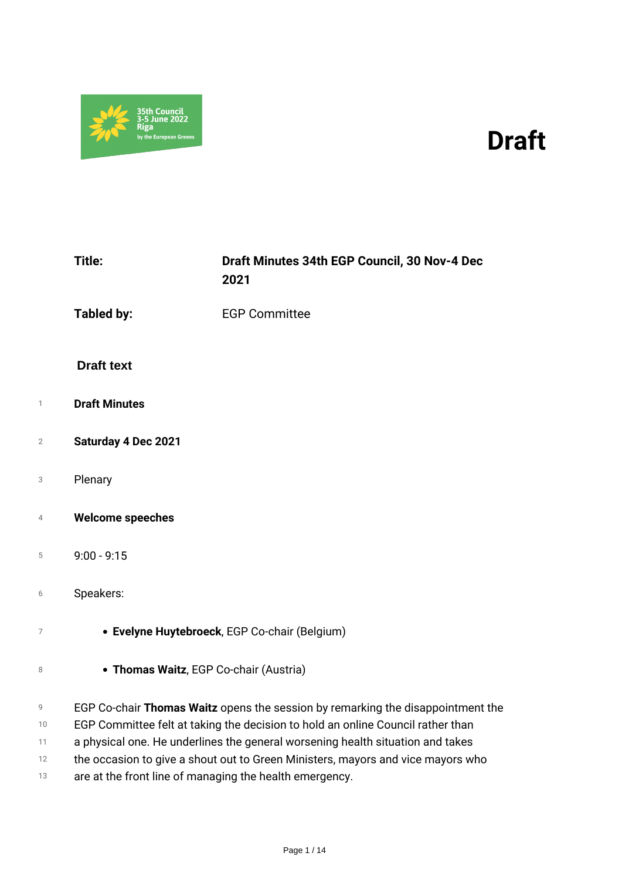

# *Draft*

|                | Title:                                                  | Draft Minutes 34th EGP Council, 30 Nov-4 Dec<br>2021                            |
|----------------|---------------------------------------------------------|---------------------------------------------------------------------------------|
|                | <b>Tabled by:</b>                                       | <b>EGP Committee</b>                                                            |
|                | <b>Draft text</b>                                       |                                                                                 |
| 1              | <b>Draft Minutes</b>                                    |                                                                                 |
| $\overline{2}$ | <b>Saturday 4 Dec 2021</b>                              |                                                                                 |
| 3              | Plenary                                                 |                                                                                 |
| $\overline{4}$ | <b>Welcome speeches</b>                                 |                                                                                 |
| 5              | $9:00 - 9:15$                                           |                                                                                 |
| 6              | Speakers:                                               |                                                                                 |
| 7              |                                                         | • Evelyne Huytebroeck, EGP Co-chair (Belgium)                                   |
| 8              | • Thomas Waitz, EGP Co-chair (Austria)                  |                                                                                 |
| 9              |                                                         | EGP Co-chair Thomas Waitz opens the session by remarking the disappointment the |
| 10             |                                                         | EGP Committee felt at taking the decision to hold an online Council rather than |
| 11             |                                                         | a physical one. He underlines the general worsening health situation and takes  |
| 12             |                                                         | the occasion to give a shout out to Green Ministers, mayors and vice mayors who |
| 13             | are at the front line of managing the health emergency. |                                                                                 |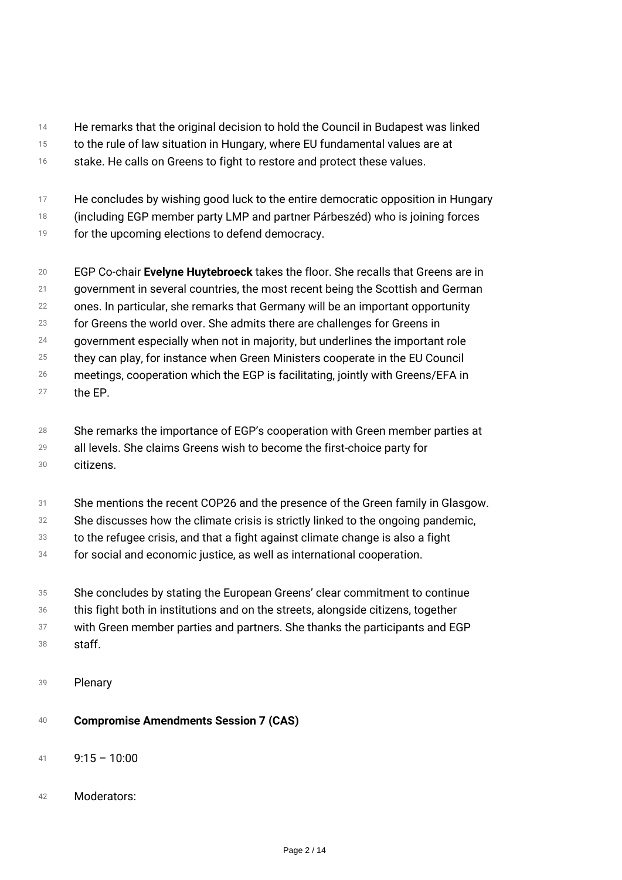- *14 He remarks that the original decision to hold the Council in Budapest was linked*
- *15 to the rule of law situation in Hungary, where EU fundamental values are at*
- *16 stake. He calls on Greens to fight to restore and protect these values.*
- *17 He concludes by wishing good luck to the entire democratic opposition in Hungary*
- *18 (including EGP member party LMP and partner Párbeszéd) who is joining forces*
- *19 for the upcoming elections to defend democracy.*
- *20 21 22 23 24 EGP Co-chair Evelyne Huytebroeck takes the floor. She recalls that Greens are in government in several countries, the most recent being the Scottish and German ones. In particular, she remarks that Germany will be an important opportunity for Greens the world over. She admits there are challenges for Greens in government especially when not in majority, but underlines the important role*
- *25 they can play, for instance when Green Ministers cooperate in the EU Council*
- *26 meetings, cooperation which the EGP is facilitating, jointly with Greens/EFA in*
- *27 the EP.*
- *28 She remarks the importance of EGP's cooperation with Green member parties at*
- *29 all levels. She claims Greens wish to become the first-choice party for*
- *30 citizens.*
- *31 She mentions the recent COP26 and the presence of the Green family in Glasgow.*
- *32 She discusses how the climate crisis is strictly linked to the ongoing pandemic,*
- *33 to the refugee crisis, and that a fight against climate change is also a fight*
- *34 for social and economic justice, as well as international cooperation.*
- *35 She concludes by stating the European Greens' clear commitment to continue*
- *36 this fight both in institutions and on the streets, alongside citizens, together*
- *37 38 with Green member parties and partners. She thanks the participants and EGP staff.*
- *<sup>39</sup> Plenary*
- *<sup>40</sup> Compromise Amendments Session 7 (CAS)*
- *<sup>41</sup> 9:15 10:00*
- *<sup>42</sup> Moderators:*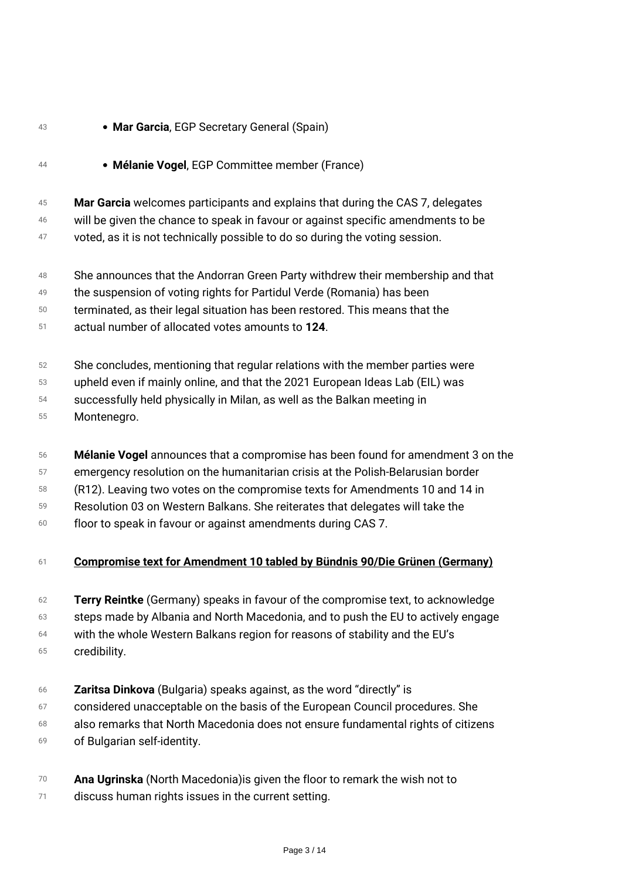## *<sup>43</sup> Mar Garcia, EGP Secretary General (Spain) <sup>44</sup> Mélanie Vogel, EGP Committee member (France)*

- *45 Mar Garcia welcomes participants and explains that during the CAS 7, delegates*
- *46 will be given the chance to speak in favour or against specific amendments to be*
- *47 voted, as it is not technically possible to do so during the voting session.*
- *48 She announces that the Andorran Green Party withdrew their membership and that*
- *49 the suspension of voting rights for Partidul Verde (Romania) has been*
- *50 terminated, as their legal situation has been restored. This means that the*
- *51 actual number of allocated votes amounts to 124.*
- *52 She concludes, mentioning that regular relations with the member parties were*
- *53 upheld even if mainly online, and that the 2021 European Ideas Lab (EIL) was*
- *54 successfully held physically in Milan, as well as the Balkan meeting in*
- *55 Montenegro.*
- *56 Mélanie Vogel announces that a compromise has been found for amendment 3 on the*
- *57 emergency resolution on the humanitarian crisis at the Polish-Belarusian border*
- *58 (R12). Leaving two votes on the compromise texts for Amendments 10 and 14 in*
- *59 Resolution 03 on Western Balkans. She reiterates that delegates will take the*
- *60 floor to speak in favour or against amendments during CAS 7.*

## *<sup>61</sup> Compromise text for Amendment 10 tabled by Bündnis 90/Die Grünen (Germany)*

- *62 Terry Reintke (Germany) speaks in favour of the compromise text, to acknowledge*
- *63 steps made by Albania and North Macedonia, and to push the EU to actively engage*
- *64 with the whole Western Balkans region for reasons of stability and the EU's*
- *65 credibility.*
- *66 Zaritsa Dinkova (Bulgaria) speaks against, as the word "directly" is*
- *67 considered unacceptable on the basis of the European Council procedures. She*
- *68 69 also remarks that North Macedonia does not ensure fundamental rights of citizens of Bulgarian self-identity.*
- *70 Ana Ugrinska (North Macedonia)is given the floor to remark the wish not to*
- *71 discuss human rights issues in the current setting.*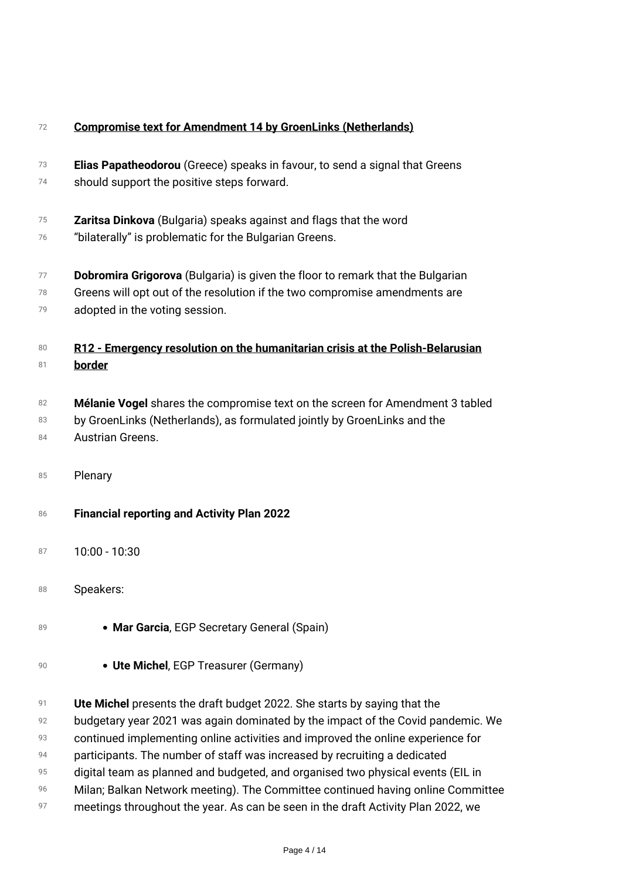| 72       | <b>Compromise text for Amendment 14 by GroenLinks (Netherlands)</b>                                                       |
|----------|---------------------------------------------------------------------------------------------------------------------------|
| 73<br>74 | Elias Papatheodorou (Greece) speaks in favour, to send a signal that Greens<br>should support the positive steps forward. |
|          |                                                                                                                           |
| 75       | Zaritsa Dinkova (Bulgaria) speaks against and flags that the word                                                         |
| 76       | "bilaterally" is problematic for the Bulgarian Greens.                                                                    |
| 77       | Dobromira Grigorova (Bulgaria) is given the floor to remark that the Bulgarian                                            |
| 78       | Greens will opt out of the resolution if the two compromise amendments are                                                |
| 79       | adopted in the voting session.                                                                                            |
| 80       | R12 - Emergency resolution on the humanitarian crisis at the Polish-Belarusian                                            |
| 81       | border                                                                                                                    |
| 82       | Mélanie Vogel shares the compromise text on the screen for Amendment 3 tabled                                             |
| 83       | by GroenLinks (Netherlands), as formulated jointly by GroenLinks and the                                                  |
| 84       | Austrian Greens.                                                                                                          |
|          |                                                                                                                           |
| 85       | Plenary                                                                                                                   |
| 86       | <b>Financial reporting and Activity Plan 2022</b>                                                                         |
| 87       | $10:00 - 10:30$                                                                                                           |
|          |                                                                                                                           |
| 88       | Speakers:                                                                                                                 |
| 89       | • Mar Garcia, EGP Secretary General (Spain)                                                                               |
| 90       | • Ute Michel, EGP Treasurer (Germany)                                                                                     |
| 91       | Ute Michel presents the draft budget 2022. She starts by saying that the                                                  |
| 92       | budgetary year 2021 was again dominated by the impact of the Covid pandemic. We                                           |
| 93       | continued implementing online activities and improved the online experience for                                           |
| 94       | participants. The number of staff was increased by recruiting a dedicated                                                 |
| 95       | digital team as planned and budgeted, and organised two physical events (EIL in                                           |

- *digital team as planned and budgeted, and organised two physical events (EIL in*
- *96 Milan; Balkan Network meeting). The Committee continued having online Committee*
- *97 meetings throughout the year. As can be seen in the draft Activity Plan 2022, we*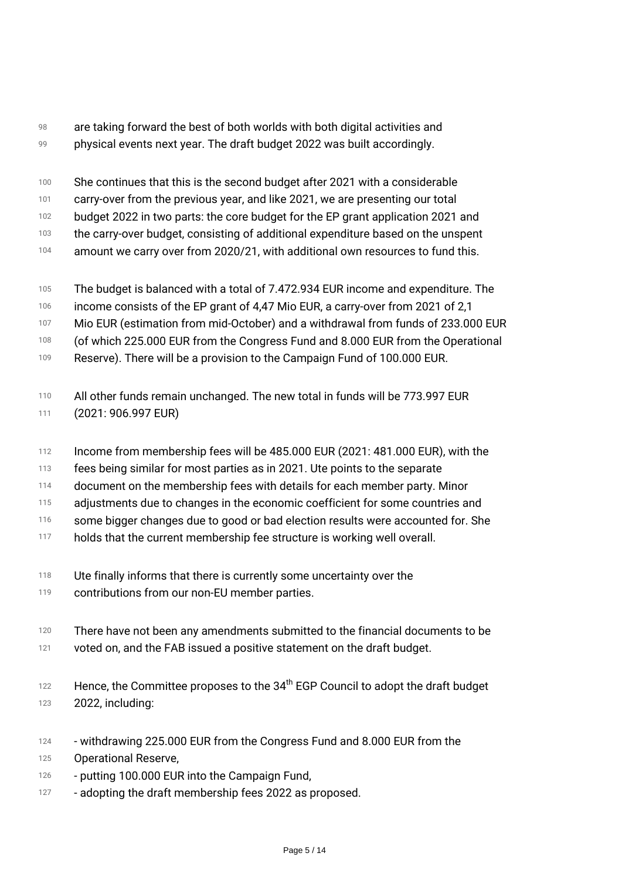- *98 99 are taking forward the best of both worlds with both digital activities and physical events next year. The draft budget 2022 was built accordingly.*
- *100 She continues that this is the second budget after 2021 with a considerable*
- *101 carry-over from the previous year, and like 2021, we are presenting our total*
- *102 budget 2022 in two parts: the core budget for the EP grant application 2021 and*
- *103 the carry-over budget, consisting of additional expenditure based on the unspent*
- *104 amount we carry over from 2020/21, with additional own resources to fund this.*
- *105 The budget is balanced with a total of 7.472.934 EUR income and expenditure. The*
- *106 income consists of the EP grant of 4,47 Mio EUR, a carry-over from 2021 of 2,1*
- *107 Mio EUR (estimation from mid-October) and a withdrawal from funds of 233.000 EUR*
- *108 (of which 225.000 EUR from the Congress Fund and 8.000 EUR from the Operational*
- *109 Reserve). There will be a provision to the Campaign Fund of 100.000 EUR.*
- *110 111 All other funds remain unchanged. The new total in funds will be 773.997 EUR (2021: 906.997 EUR)*
- *112 Income from membership fees will be 485.000 EUR (2021: 481.000 EUR), with the*
- *113 fees being similar for most parties as in 2021. Ute points to the separate*
- *114 document on the membership fees with details for each member party. Minor*
- *115 adjustments due to changes in the economic coefficient for some countries and*
- *116 some bigger changes due to good or bad election results were accounted for. She*
- *117 holds that the current membership fee structure is working well overall.*
- *118 Ute finally informs that there is currently some uncertainty over the*
- *119 contributions from our non-EU member parties.*
- *120 121 There have not been any amendments submitted to the financial documents to be voted on, and the FAB issued a positive statement on the draft budget.*
- *122 123 Hence, the Committee proposes to the 34th EGP Council to adopt the draft budget 2022, including:*
- *124 - withdrawing 225.000 EUR from the Congress Fund and 8.000 EUR from the*
- *125 Operational Reserve,*
- *126 - putting 100.000 EUR into the Campaign Fund,*
- *127 - adopting the draft membership fees 2022 as proposed.*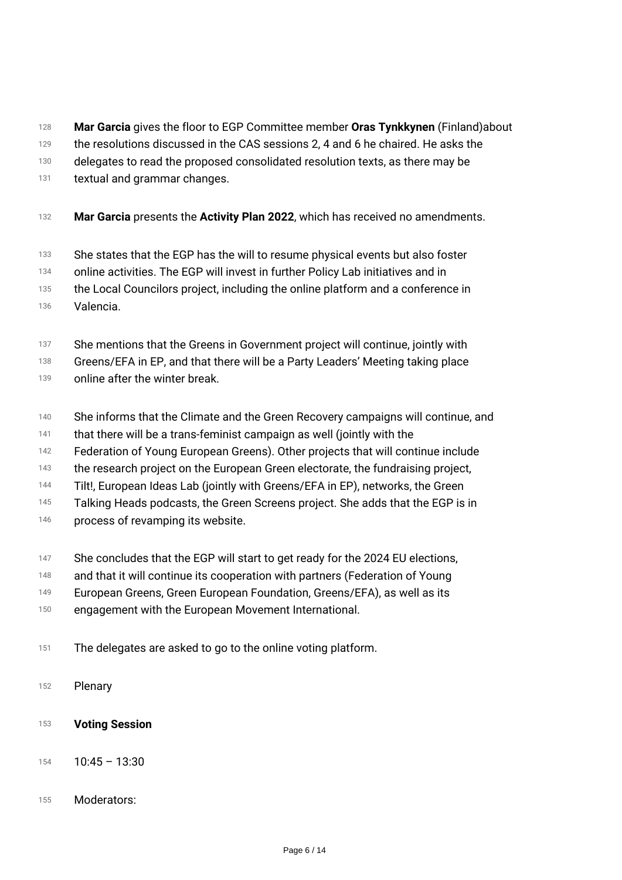- *128 Mar Garcia gives the floor to EGP Committee member Oras Tynkkynen (Finland)about*
- *129 the resolutions discussed in the CAS sessions 2, 4 and 6 he chaired. He asks the*
- *130 delegates to read the proposed consolidated resolution texts, as there may be*
- *131 textual and grammar changes.*
- *<sup>132</sup> Mar Garcia presents the Activity Plan 2022, which has received no amendments.*
- *133 She states that the EGP has the will to resume physical events but also foster*
- *134 online activities. The EGP will invest in further Policy Lab initiatives and in*
- *135 the Local Councilors project, including the online platform and a conference in*
- *136 Valencia.*
- *137 She mentions that the Greens in Government project will continue, jointly with*
- *138 Greens/EFA in EP, and that there will be a Party Leaders' Meeting taking place*
- *139 online after the winter break.*
- *140 She informs that the Climate and the Green Recovery campaigns will continue, and*
- *141 that there will be a trans-feminist campaign as well (jointly with the*
- *142 Federation of Young European Greens). Other projects that will continue include*
- *143 the research project on the European Green electorate, the fundraising project,*
- *144 Tilt!, European Ideas Lab (jointly with Greens/EFA in EP), networks, the Green*
- *145 Talking Heads podcasts, the Green Screens project. She adds that the EGP is in*
- *146 process of revamping its website.*
- *147 She concludes that the EGP will start to get ready for the 2024 EU elections,*
- *148 and that it will continue its cooperation with partners (Federation of Young*
- *149 European Greens, Green European Foundation, Greens/EFA), as well as its*
- *150 engagement with the European Movement International.*
- *<sup>151</sup> The delegates are asked to go to the online voting platform.*
- *<sup>152</sup> Plenary*
- *<sup>153</sup> Voting Session*
- *<sup>154</sup> 10:45 13:30*
- *<sup>155</sup> Moderators:*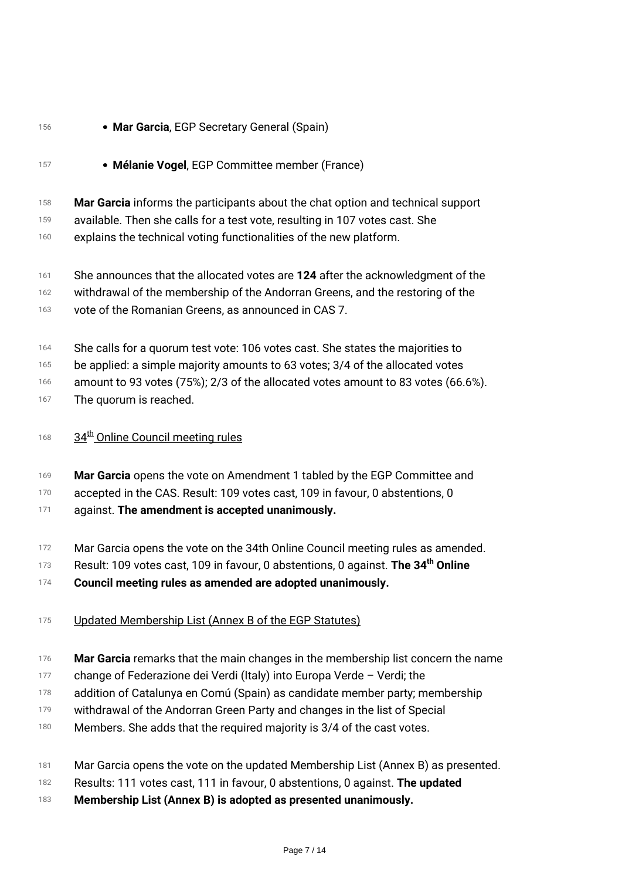### *<sup>156</sup> Mar Garcia, EGP Secretary General (Spain) <sup>157</sup> Mélanie Vogel, EGP Committee member (France) 158 159 160 Mar Garcia informs the participants about the chat option and technical support available. Then she calls for a test vote, resulting in 107 votes cast. She explains the technical voting functionalities of the new platform. 161 162 163 She announces that the allocated votes are 124 after the acknowledgment of the withdrawal of the membership of the Andorran Greens, and the restoring of the vote of the Romanian Greens, as announced in CAS 7. 164 165 166 167 She calls for a quorum test vote: 106 votes cast. She states the majorities to be applied: a simple majority amounts to 63 votes; 3/4 of the allocated votes amount to 93 votes (75%); 2/3 of the allocated votes amount to 83 votes (66.6%). The quorum is reached. <sup>168</sup> 34th Online Council meeting rules 169 170 171 Mar Garcia opens the vote on Amendment 1 tabled by the EGP Committee and accepted in the CAS. Result: 109 votes cast, 109 in favour, 0 abstentions, 0 against. The amendment is accepted unanimously.*

- *172 Mar Garcia opens the vote on the 34th Online Council meeting rules as amended.*
- *173 Result: 109 votes cast, 109 in favour, 0 abstentions, 0 against. The 34th Online*
- *174 Council meeting rules as amended are adopted unanimously.*
- *<sup>175</sup> Updated Membership List (Annex B of the EGP Statutes)*
- *176 Mar Garcia remarks that the main changes in the membership list concern the name*
- *177 change of Federazione dei Verdi (Italy) into Europa Verde – Verdi; the*
- *178 addition of Catalunya en Comú (Spain) as candidate member party; membership*
- *179 withdrawal of the Andorran Green Party and changes in the list of Special*
- *180 Members. She adds that the required majority is 3/4 of the cast votes.*
- *181 Mar Garcia opens the vote on the updated Membership List (Annex B) as presented.*
- *182 Results: 111 votes cast, 111 in favour, 0 abstentions, 0 against. The updated*
- *183 Membership List (Annex B) is adopted as presented unanimously.*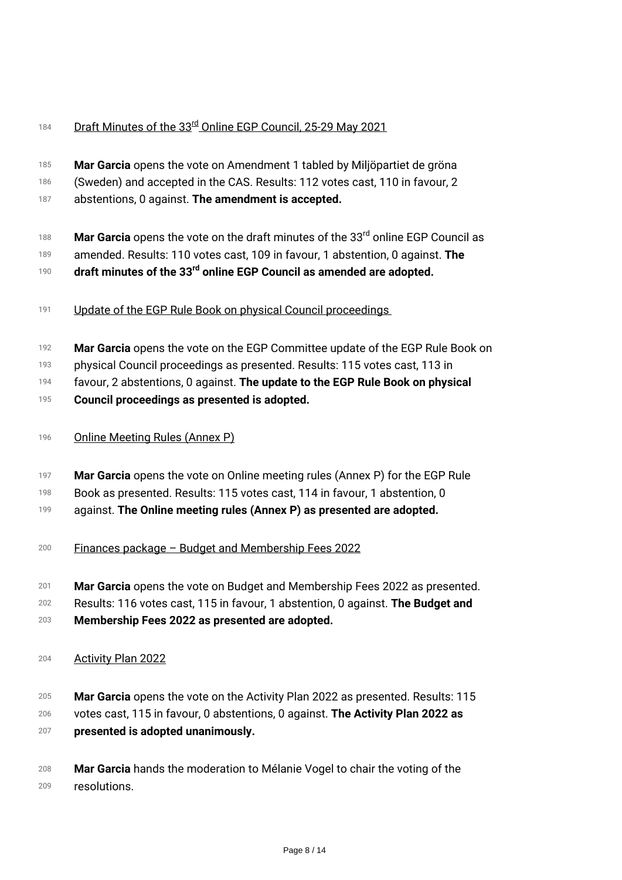## *<sup>184</sup> Draft Minutes of the 33rd Online EGP Council, 25-29 May 2021*

- *185 186 Mar Garcia opens the vote on Amendment 1 tabled by Miljöpartiet de gröna (Sweden) and accepted in the CAS. Results: 112 votes cast, 110 in favour, 2*
- *187 abstentions, 0 against. The amendment is accepted.*
- *188 Mar Garcia opens the vote on the draft minutes of the 33rd online EGP Council as*
- *189 amended. Results: 110 votes cast, 109 in favour, 1 abstention, 0 against. The*
- *190 draft minutes of the 33rd online EGP Council as amended are adopted.*
- *<sup>191</sup> Update of the EGP Rule Book on physical Council proceedings*
- *192 Mar Garcia opens the vote on the EGP Committee update of the EGP Rule Book on*
- *193 physical Council proceedings as presented. Results: 115 votes cast, 113 in*
- *194 favour, 2 abstentions, 0 against. The update to the EGP Rule Book on physical*
- *195 Council proceedings as presented is adopted.*
- *<sup>196</sup> Online Meeting Rules (Annex P)*
- *197 Mar Garcia opens the vote on Online meeting rules (Annex P) for the EGP Rule*
- *198 Book as presented. Results: 115 votes cast, 114 in favour, 1 abstention, 0*
- *199 against. The Online meeting rules (Annex P) as presented are adopted.*
- *<sup>200</sup> Finances package Budget and Membership Fees 2022*
- *201 Mar Garcia opens the vote on Budget and Membership Fees 2022 as presented.*
- *202 203 Results: 116 votes cast, 115 in favour, 1 abstention, 0 against. The Budget and Membership Fees 2022 as presented are adopted.*
- *<sup>204</sup> Activity Plan 2022*
- *205 Mar Garcia opens the vote on the Activity Plan 2022 as presented. Results: 115*
- *206 207 votes cast, 115 in favour, 0 abstentions, 0 against. The Activity Plan 2022 as presented is adopted unanimously.*
- *208 209 Mar Garcia hands the moderation to Mélanie Vogel to chair the voting of the resolutions.*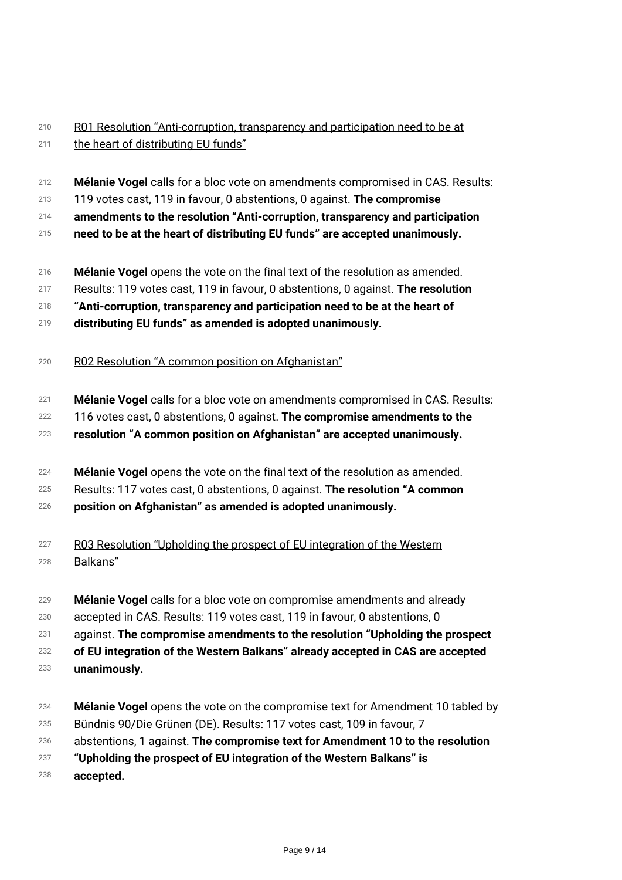#### *210 211 R01 Resolution "Anti-corruption, transparency and participation need to be at the heart of distributing EU funds"*

- *212 Mélanie Vogel calls for a bloc vote on amendments compromised in CAS. Results:*
- *213 119 votes cast, 119 in favour, 0 abstentions, 0 against. The compromise*
- *214 amendments to the resolution "Anti-corruption, transparency and participation*
- *215 need to be at the heart of distributing EU funds" are accepted unanimously.*
- *216 Mélanie Vogel opens the vote on the final text of the resolution as amended.*
- *217 Results: 119 votes cast, 119 in favour, 0 abstentions, 0 against. The resolution*
- *218 "Anti-corruption, transparency and participation need to be at the heart of*
- *219 distributing EU funds" as amended is adopted unanimously.*
- *<sup>220</sup> R02 Resolution "A common position on Afghanistan"*
- *221 Mélanie Vogel calls for a bloc vote on amendments compromised in CAS. Results:*
- *222 116 votes cast, 0 abstentions, 0 against. The compromise amendments to the*
- *223 resolution "A common position on Afghanistan" are accepted unanimously.*
- *224 Mélanie Vogel opens the vote on the final text of the resolution as amended.*
- *225 Results: 117 votes cast, 0 abstentions, 0 against. The resolution "A common*
- *226 position on Afghanistan" as amended is adopted unanimously.*
- *227 228 R03 Resolution "Upholding the prospect of EU integration of the Western Balkans"*
- *229 Mélanie Vogel calls for a bloc vote on compromise amendments and already*
- *230 accepted in CAS. Results: 119 votes cast, 119 in favour, 0 abstentions, 0*
- *231 against. The compromise amendments to the resolution "Upholding the prospect*

*232 of EU integration of the Western Balkans" already accepted in CAS are accepted*

- *233 unanimously.*
- *234 Mélanie Vogel opens the vote on the compromise text for Amendment 10 tabled by*
- *235 Bündnis 90/Die Grünen (DE). Results: 117 votes cast, 109 in favour, 7*
- *236 abstentions, 1 against. The compromise text for Amendment 10 to the resolution*
- *237 "Upholding the prospect of EU integration of the Western Balkans" is*
- *238 accepted.*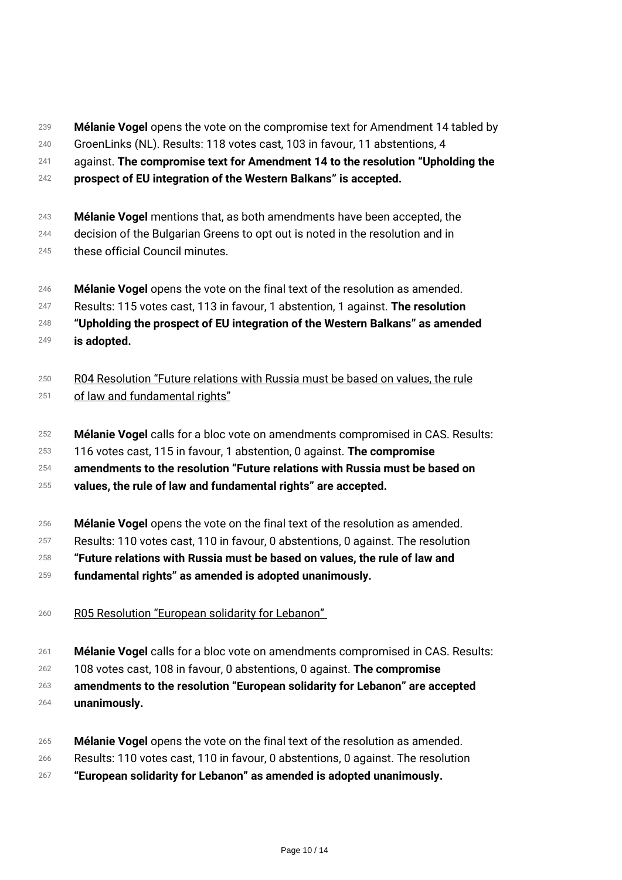- *239 Mélanie Vogel opens the vote on the compromise text for Amendment 14 tabled by*
- *240 GroenLinks (NL). Results: 118 votes cast, 103 in favour, 11 abstentions, 4*
- *241 against. The compromise text for Amendment 14 to the resolution "Upholding the*
- *242 prospect of EU integration of the Western Balkans" is accepted.*
- *243 Mélanie Vogel mentions that, as both amendments have been accepted, the*
- *244 decision of the Bulgarian Greens to opt out is noted in the resolution and in*
- *245 these official Council minutes.*
- *246 Mélanie Vogel opens the vote on the final text of the resolution as amended.*
- *247 Results: 115 votes cast, 113 in favour, 1 abstention, 1 against. The resolution*
- *248 249 "Upholding the prospect of EU integration of the Western Balkans" as amended is adopted.*
- *250 251 R04 Resolution "Future relations with Russia must be based on values, the rule of law and fundamental rights"*
- *252 Mélanie Vogel calls for a bloc vote on amendments compromised in CAS. Results:*
- *253 116 votes cast, 115 in favour, 1 abstention, 0 against. The compromise*
- *254 amendments to the resolution "Future relations with Russia must be based on*
- *255 values, the rule of law and fundamental rights" are accepted.*
- *256 Mélanie Vogel opens the vote on the final text of the resolution as amended.*
- *257 Results: 110 votes cast, 110 in favour, 0 abstentions, 0 against. The resolution*
- *258 "Future relations with Russia must be based on values, the rule of law and*
- *259 fundamental rights" as amended is adopted unanimously.*
- *<sup>260</sup> R05 Resolution "European solidarity for Lebanon"*
- *261 Mélanie Vogel calls for a bloc vote on amendments compromised in CAS. Results:*
- *262 108 votes cast, 108 in favour, 0 abstentions, 0 against. The compromise*

*263 amendments to the resolution "European solidarity for Lebanon" are accepted*

- *264 unanimously.*
- *265 Mélanie Vogel opens the vote on the final text of the resolution as amended.*
- *266 Results: 110 votes cast, 110 in favour, 0 abstentions, 0 against. The resolution*
- *267 "European solidarity for Lebanon" as amended is adopted unanimously.*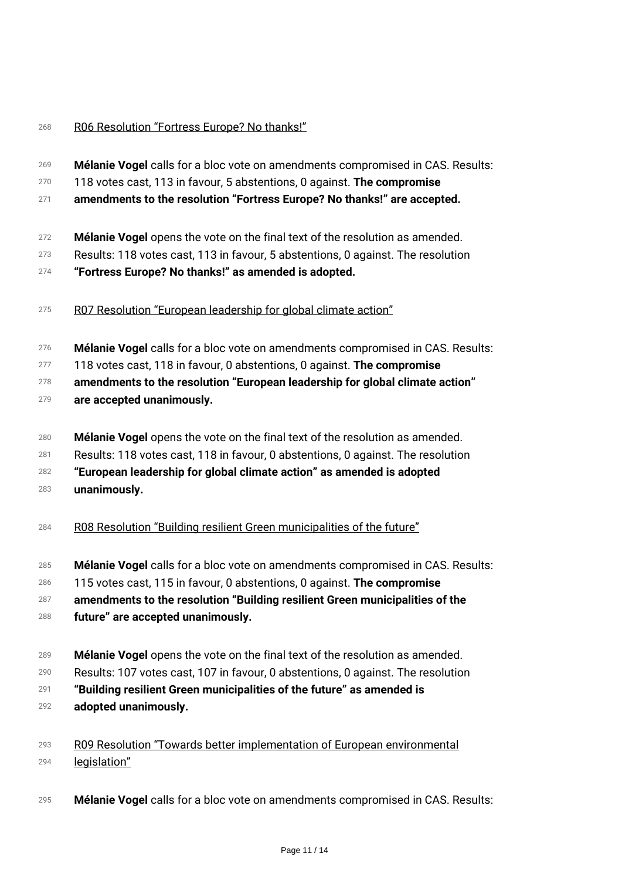## *<sup>268</sup> R06 Resolution "Fortress Europe? No thanks!"*

| 269 | Mélanie Vogel calls for a bloc vote on amendments compromised in CAS. Results:   |
|-----|----------------------------------------------------------------------------------|
| 270 | 118 votes cast, 113 in favour, 5 abstentions, 0 against. The compromise          |
| 271 | amendments to the resolution "Fortress Europe? No thanks!" are accepted.         |
| 272 | Mélanie Vogel opens the vote on the final text of the resolution as amended.     |
| 273 | Results: 118 votes cast, 113 in favour, 5 abstentions, 0 against. The resolution |
| 274 | "Fortress Europe? No thanks!" as amended is adopted.                             |
| 275 | R07 Resolution "European leadership for global climate action"                   |
| 276 | Mélanie Vogel calls for a bloc vote on amendments compromised in CAS. Results:   |
| 277 | 118 votes cast, 118 in favour, 0 abstentions, 0 against. The compromise          |
| 278 | amendments to the resolution "European leadership for global climate action"     |
| 279 | are accepted unanimously.                                                        |
| 280 | Mélanie Vogel opens the vote on the final text of the resolution as amended.     |
| 281 | Results: 118 votes cast, 118 in favour, 0 abstentions, 0 against. The resolution |
| 282 | "European leadership for global climate action" as amended is adopted            |
| 283 | unanimously.                                                                     |
| 284 | R08 Resolution "Building resilient Green municipalities of the future"           |
| 285 | Mélanie Vogel calls for a bloc vote on amendments compromised in CAS. Results:   |
| 286 | 115 votes cast, 115 in favour, 0 abstentions, 0 against. The compromise          |
| 287 | amendments to the resolution "Building resilient Green municipalities of the     |
| 288 | future" are accepted unanimously.                                                |
| 289 | Mélanie Vogel opens the vote on the final text of the resolution as amended.     |
| 290 | Results: 107 votes cast, 107 in favour, 0 abstentions, 0 against. The resolution |
| 291 | "Building resilient Green municipalities of the future" as amended is            |
| 292 | adopted unanimously.                                                             |

*293 294 R09 Resolution "Towards better implementation of European environmental legislation"*

*<sup>295</sup> Mélanie Vogel calls for a bloc vote on amendments compromised in CAS. Results:*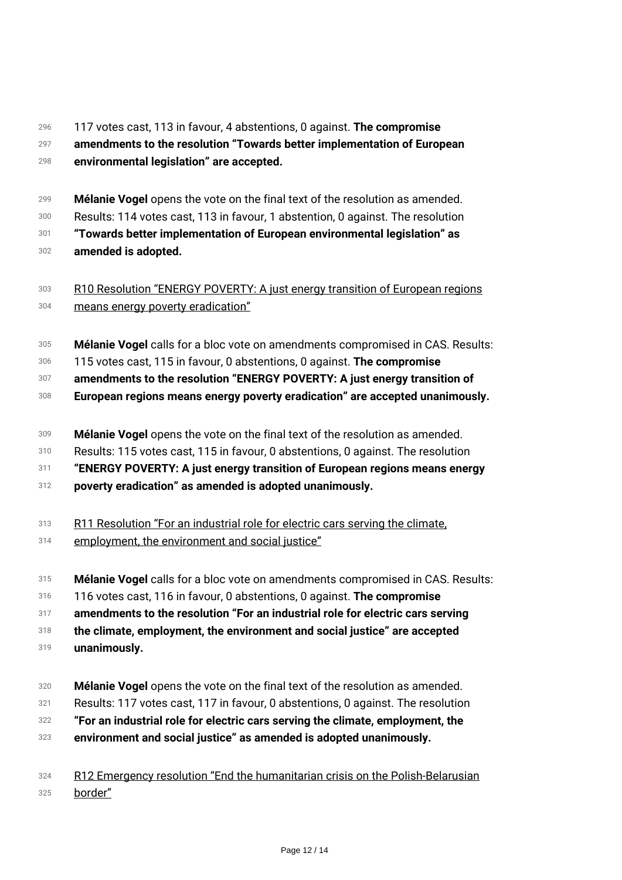#### *296 297 298 117 votes cast, 113 in favour, 4 abstentions, 0 against. The compromise amendments to the resolution "Towards better implementation of European environmental legislation" are accepted.*

*299 Mélanie Vogel opens the vote on the final text of the resolution as amended.*

*300 Results: 114 votes cast, 113 in favour, 1 abstention, 0 against. The resolution*

*301 302 "Towards better implementation of European environmental legislation" as amended is adopted.*

#### *303 304 R10 Resolution "ENERGY POVERTY: A just energy transition of European regions means energy poverty eradication"*

- *305 Mélanie Vogel calls for a bloc vote on amendments compromised in CAS. Results:*
- *306 115 votes cast, 115 in favour, 0 abstentions, 0 against. The compromise*
- *307 amendments to the resolution "ENERGY POVERTY: A just energy transition of*
- *308 European regions means energy poverty eradication" are accepted unanimously.*
- *309 Mélanie Vogel opens the vote on the final text of the resolution as amended.*
- *310 Results: 115 votes cast, 115 in favour, 0 abstentions, 0 against. The resolution*
- *311 "ENERGY POVERTY: A just energy transition of European regions means energy*
- *312 poverty eradication" as amended is adopted unanimously.*
- *313 R11 Resolution "For an industrial role for electric cars serving the climate,*
- *314 employment, the environment and social justice"*
- *315 Mélanie Vogel calls for a bloc vote on amendments compromised in CAS. Results:*
- *316 116 votes cast, 116 in favour, 0 abstentions, 0 against. The compromise*
- *317 amendments to the resolution "For an industrial role for electric cars serving*

*318 the climate, employment, the environment and social justice" are accepted*

- *319 unanimously.*
- *320 Mélanie Vogel opens the vote on the final text of the resolution as amended.*
- *321 Results: 117 votes cast, 117 in favour, 0 abstentions, 0 against. The resolution*
- *322 "For an industrial role for electric cars serving the climate, employment, the*
- *323 environment and social justice" as amended is adopted unanimously.*

#### *324 325 R12 Emergency resolution "End the humanitarian crisis on the Polish-Belarusian border"*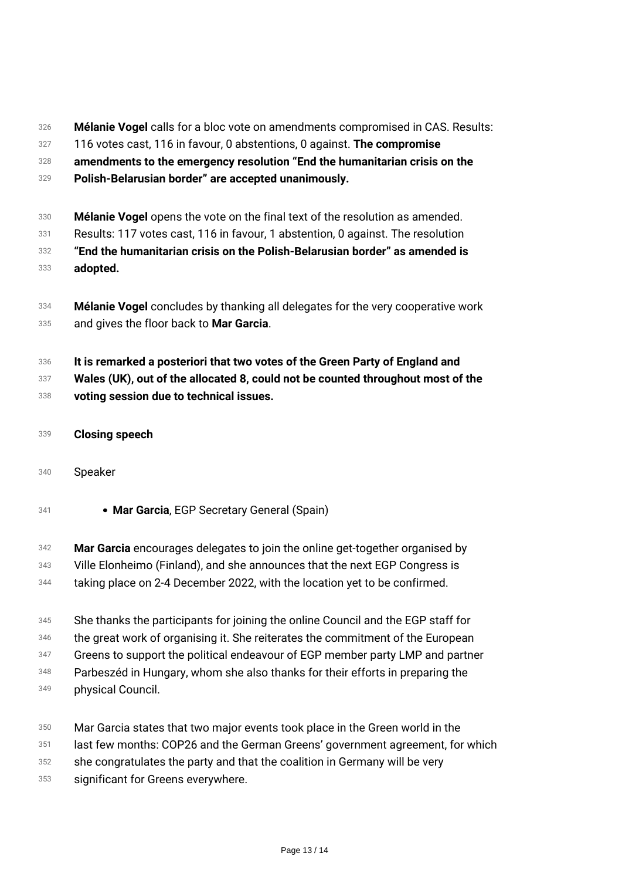- *326 Mélanie Vogel calls for a bloc vote on amendments compromised in CAS. Results:*
- *327 116 votes cast, 116 in favour, 0 abstentions, 0 against. The compromise*
- *328 amendments to the emergency resolution "End the humanitarian crisis on the*
- *329 Polish-Belarusian border" are accepted unanimously.*
- *330 Mélanie Vogel opens the vote on the final text of the resolution as amended.*
- *331 Results: 117 votes cast, 116 in favour, 1 abstention, 0 against. The resolution*
- *332 333 "End the humanitarian crisis on the Polish-Belarusian border" as amended is adopted.*
- *334 335 Mélanie Vogel concludes by thanking all delegates for the very cooperative work and gives the floor back to Mar Garcia.*
- *336 337 It is remarked a posteriori that two votes of the Green Party of England and Wales (UK), out of the allocated 8, could not be counted throughout most of the*
- *338 voting session due to technical issues.*
- *<sup>339</sup> Closing speech*
- *<sup>340</sup> Speaker*
- *<sup>341</sup> Mar Garcia, EGP Secretary General (Spain)*
- *342 Mar Garcia encourages delegates to join the online get-together organised by*
- *343 Ville Elonheimo (Finland), and she announces that the next EGP Congress is*
- *344 taking place on 2-4 December 2022, with the location yet to be confirmed.*
- *345 She thanks the participants for joining the online Council and the EGP staff for*
- *346 the great work of organising it. She reiterates the commitment of the European*
- *347 Greens to support the political endeavour of EGP member party LMP and partner*
- *348 Parbeszéd in Hungary, whom she also thanks for their efforts in preparing the*
- *349 physical Council.*
- *350 Mar Garcia states that two major events took place in the Green world in the*
- *351 last few months: COP26 and the German Greens' government agreement, for which*
- *352 she congratulates the party and that the coalition in Germany will be very*
- *353 significant for Greens everywhere.*